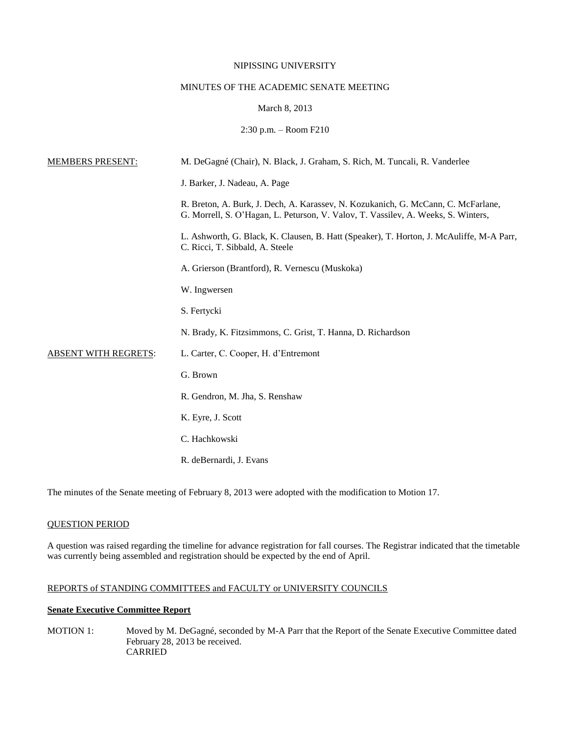### NIPISSING UNIVERSITY

# MINUTES OF THE ACADEMIC SENATE MEETING

### March 8, 2013

### 2:30 p.m. – Room F210

| <b>MEMBERS PRESENT:</b>     | M. DeGagné (Chair), N. Black, J. Graham, S. Rich, M. Tuncali, R. Vanderlee                                                                                             |
|-----------------------------|------------------------------------------------------------------------------------------------------------------------------------------------------------------------|
|                             | J. Barker, J. Nadeau, A. Page                                                                                                                                          |
|                             | R. Breton, A. Burk, J. Dech, A. Karassev, N. Kozukanich, G. McCann, C. McFarlane,<br>G. Morrell, S. O'Hagan, L. Peturson, V. Valov, T. Vassilev, A. Weeks, S. Winters, |
|                             | L. Ashworth, G. Black, K. Clausen, B. Hatt (Speaker), T. Horton, J. McAuliffe, M-A Parr,<br>C. Ricci, T. Sibbald, A. Steele                                            |
|                             | A. Grierson (Brantford), R. Vernescu (Muskoka)                                                                                                                         |
|                             | W. Ingwersen                                                                                                                                                           |
|                             | S. Fertycki                                                                                                                                                            |
|                             | N. Brady, K. Fitzsimmons, C. Grist, T. Hanna, D. Richardson                                                                                                            |
| <b>ABSENT WITH REGRETS:</b> | L. Carter, C. Cooper, H. d'Entremont                                                                                                                                   |
|                             | G. Brown                                                                                                                                                               |
|                             | R. Gendron, M. Jha, S. Renshaw                                                                                                                                         |
|                             | K. Eyre, J. Scott                                                                                                                                                      |
|                             | C. Hachkowski                                                                                                                                                          |
|                             | R. deBernardi, J. Evans                                                                                                                                                |

The minutes of the Senate meeting of February 8, 2013 were adopted with the modification to Motion 17.

## QUESTION PERIOD

A question was raised regarding the timeline for advance registration for fall courses. The Registrar indicated that the timetable was currently being assembled and registration should be expected by the end of April.

# REPORTS of STANDING COMMITTEES and FACULTY or UNIVERSITY COUNCILS

## **Senate Executive Committee Report**

MOTION 1: Moved by M. DeGagné, seconded by M-A Parr that the Report of the Senate Executive Committee dated February 28, 2013 be received. CARRIED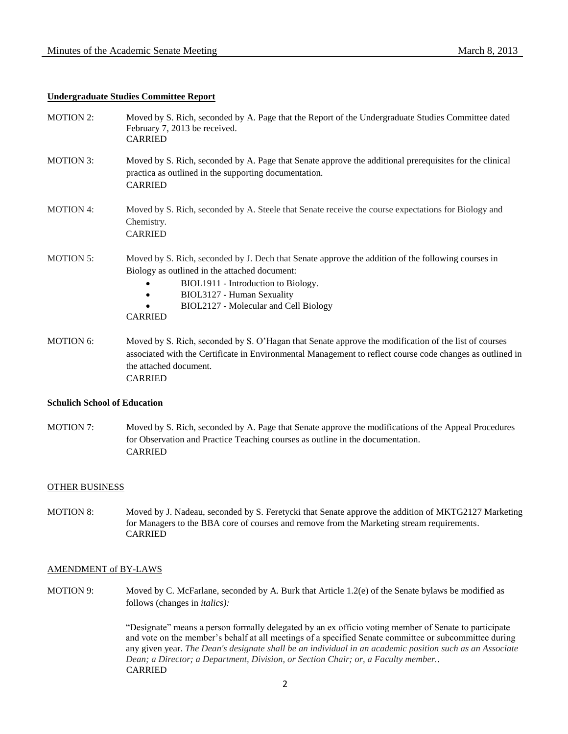## **Undergraduate Studies Committee Report**

| <b>MOTION 2:</b> | Moved by S. Rich, seconded by A. Page that the Report of the Undergraduate Studies Committee dated<br>February 7, 2013 be received.<br><b>CARRIED</b>                                                                                                                               |
|------------------|-------------------------------------------------------------------------------------------------------------------------------------------------------------------------------------------------------------------------------------------------------------------------------------|
| <b>MOTION 3:</b> | Moved by S. Rich, seconded by A. Page that Senate approve the additional prerequisites for the clinical<br>practica as outlined in the supporting documentation.<br><b>CARRIED</b>                                                                                                  |
| <b>MOTION 4:</b> | Moved by S. Rich, seconded by A. Steele that Senate receive the course expectations for Biology and<br>Chemistry.<br><b>CARRIED</b>                                                                                                                                                 |
| <b>MOTION 5:</b> | Moved by S. Rich, seconded by J. Dech that Senate approve the addition of the following courses in<br>Biology as outlined in the attached document:<br>BIOL1911 - Introduction to Biology.<br>BIOL3127 - Human Sexuality<br>BIOL2127 - Molecular and Cell Biology<br><b>CARRIED</b> |
| <b>MOTION 6:</b> | Moved by S. Rich, seconded by S. O'Hagan that Senate approve the modification of the list of courses<br>associated with the Certificate in Environmental Management to reflect course code changes as outlined in<br>the attached document.                                         |

CARRIED

# **Schulich School of Education**

MOTION 7: Moved by S. Rich, seconded by A. Page that Senate approve the modifications of the Appeal Procedures for Observation and Practice Teaching courses as outline in the documentation. CARRIED

### OTHER BUSINESS

MOTION 8: Moved by J. Nadeau, seconded by S. Feretycki that Senate approve the addition of MKTG2127 Marketing for Managers to the BBA core of courses and remove from the Marketing stream requirements. CARRIED

#### AMENDMENT of BY-LAWS

MOTION 9: Moved by C. McFarlane, seconded by A. Burk that Article 1.2(e) of the Senate bylaws be modified as follows (changes in *italics):*

> "Designate" means a person formally delegated by an ex officio voting member of Senate to participate and vote on the member's behalf at all meetings of a specified Senate committee or subcommittee during any given year. *The Dean's designate shall be an individual in an academic position such as an Associate Dean; a Director; a Department, Division, or Section Chair; or, a Faculty member..*  CARRIED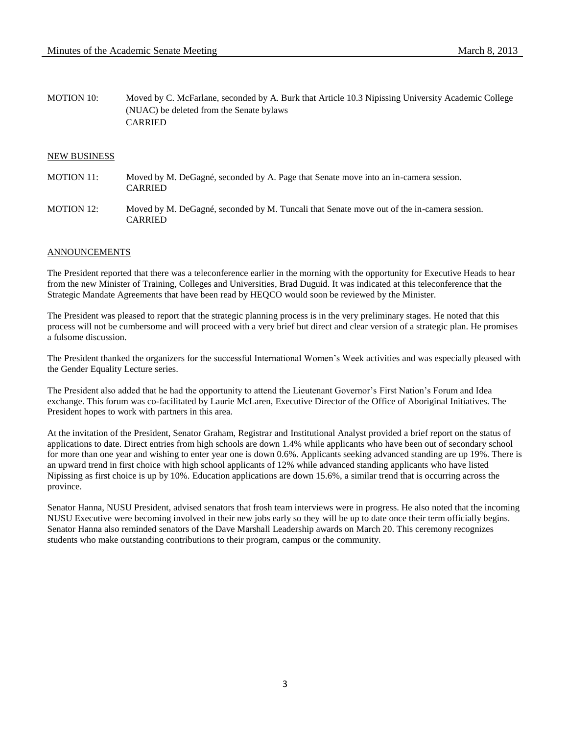MOTION 10: Moved by C. McFarlane, seconded by A. Burk that Article 10.3 Nipissing University Academic College (NUAC) be deleted from the Senate bylaws CARRIED

### NEW BUSINESS

- MOTION 11: Moved by M. DeGagné, seconded by A. Page that Senate move into an in-camera session. CARRIED
- MOTION 12: Moved by M. DeGagné, seconded by M. Tuncali that Senate move out of the in-camera session. CARRIED

### ANNOUNCEMENTS

The President reported that there was a teleconference earlier in the morning with the opportunity for Executive Heads to hear from the new Minister of Training, Colleges and Universities, Brad Duguid. It was indicated at this teleconference that the Strategic Mandate Agreements that have been read by HEQCO would soon be reviewed by the Minister.

The President was pleased to report that the strategic planning process is in the very preliminary stages. He noted that this process will not be cumbersome and will proceed with a very brief but direct and clear version of a strategic plan. He promises a fulsome discussion.

The President thanked the organizers for the successful International Women's Week activities and was especially pleased with the Gender Equality Lecture series.

The President also added that he had the opportunity to attend the Lieutenant Governor's First Nation's Forum and Idea exchange. This forum was co-facilitated by Laurie McLaren, Executive Director of the Office of Aboriginal Initiatives. The President hopes to work with partners in this area.

At the invitation of the President, Senator Graham, Registrar and Institutional Analyst provided a brief report on the status of applications to date. Direct entries from high schools are down 1.4% while applicants who have been out of secondary school for more than one year and wishing to enter year one is down 0.6%. Applicants seeking advanced standing are up 19%. There is an upward trend in first choice with high school applicants of 12% while advanced standing applicants who have listed Nipissing as first choice is up by 10%. Education applications are down 15.6%, a similar trend that is occurring across the province.

Senator Hanna, NUSU President, advised senators that frosh team interviews were in progress. He also noted that the incoming NUSU Executive were becoming involved in their new jobs early so they will be up to date once their term officially begins. Senator Hanna also reminded senators of the Dave Marshall Leadership awards on March 20. This ceremony recognizes students who make outstanding contributions to their program, campus or the community.